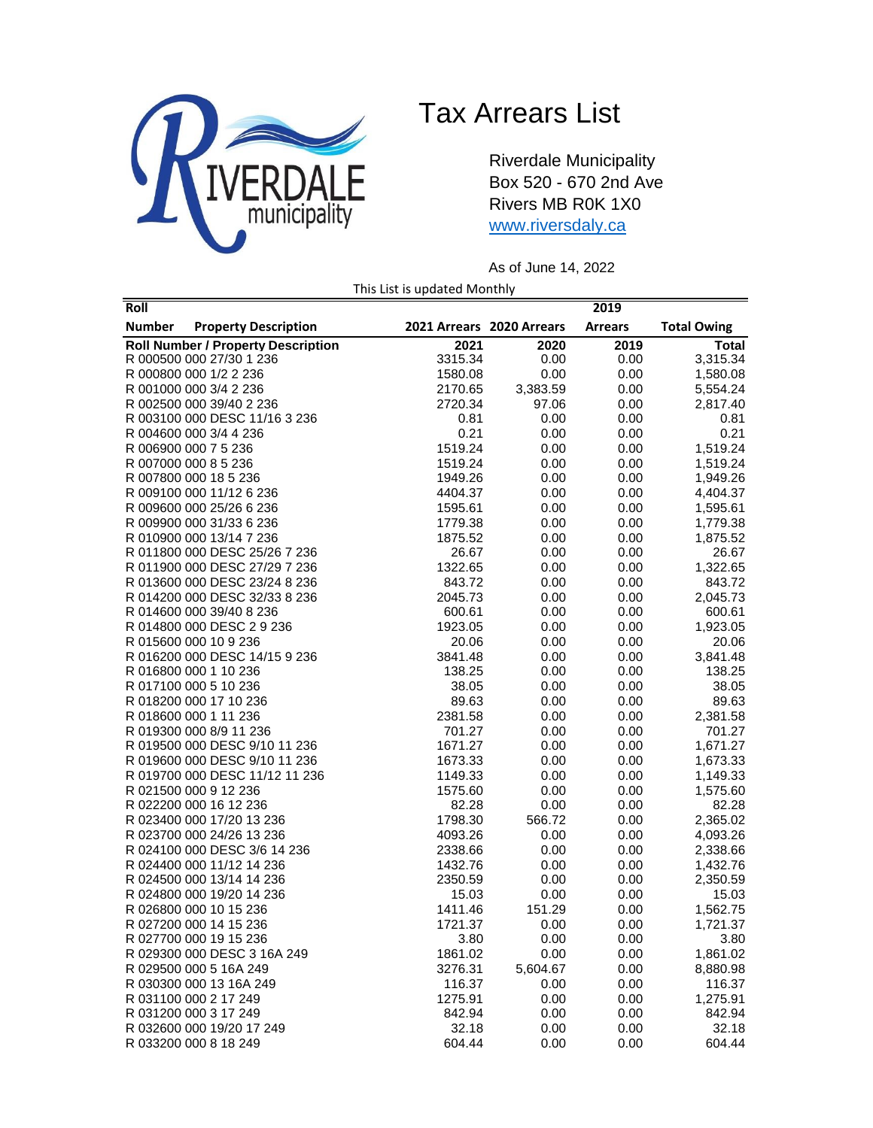

## Tax Arrears List

Riverdale Municipality Box 520 - 670 2nd Ave Rivers MB R0K 1X0 [www.riversdaly.ca](http://www.riversdaly.ca/)

As of June 14, 2022

This List is updated Monthly

| Roll                                         |                           |          | 2019           |                    |
|----------------------------------------------|---------------------------|----------|----------------|--------------------|
| <b>Number</b><br><b>Property Description</b> | 2021 Arrears 2020 Arrears |          | <b>Arrears</b> | <b>Total Owing</b> |
| <b>Roll Number / Property Description</b>    | 2021                      | 2020     | 2019           | Total              |
| R 000500 000 27/30 1 236                     | 3315.34                   | 0.00     | 0.00           | 3,315.34           |
| R 000800 000 1/2 2 236                       | 1580.08                   | 0.00     | 0.00           | 1,580.08           |
| R 001000 000 3/4 2 236                       | 2170.65                   | 3,383.59 | 0.00           | 5,554.24           |
| R 002500 000 39/40 2 236                     | 2720.34                   | 97.06    | 0.00           | 2,817.40           |
| R 003100 000 DESC 11/16 3 236                | 0.81                      | 0.00     | 0.00           | 0.81               |
| R 004600 000 3/4 4 236                       | 0.21                      | 0.00     | 0.00           | 0.21               |
| R 006900 000 7 5 236                         | 1519.24                   | 0.00     | 0.00           | 1,519.24           |
| R 007000 000 8 5 236                         | 1519.24                   | 0.00     | 0.00           | 1,519.24           |
| R 007800 000 18 5 236                        | 1949.26                   | 0.00     | 0.00           | 1,949.26           |
| R 009100 000 11/12 6 236                     | 4404.37                   | 0.00     | 0.00           | 4,404.37           |
| R 009600 000 25/26 6 236                     | 1595.61                   | 0.00     | 0.00           | 1,595.61           |
| R 009900 000 31/33 6 236                     | 1779.38                   | 0.00     | 0.00           | 1,779.38           |
| R 010900 000 13/14 7 236                     | 1875.52                   | 0.00     | 0.00           | 1,875.52           |
| R 011800 000 DESC 25/26 7 236                | 26.67                     | 0.00     | 0.00           | 26.67              |
| R 011900 000 DESC 27/29 7 236                | 1322.65                   | 0.00     | 0.00           | 1,322.65           |
| R 013600 000 DESC 23/24 8 236                | 843.72                    | 0.00     | 0.00           | 843.72             |
| R 014200 000 DESC 32/33 8 236                | 2045.73                   | 0.00     | 0.00           | 2,045.73           |
| R 014600 000 39/40 8 236                     | 600.61                    | 0.00     | 0.00           | 600.61             |
| R 014800 000 DESC 2 9 236                    | 1923.05                   | 0.00     | 0.00           | 1,923.05           |
| R 015600 000 10 9 236                        | 20.06                     | 0.00     | 0.00           | 20.06              |
| R 016200 000 DESC 14/15 9 236                | 3841.48                   | 0.00     | 0.00           | 3,841.48           |
| R 016800 000 1 10 236                        | 138.25                    | 0.00     | 0.00           | 138.25             |
| R 017100 000 5 10 236                        | 38.05                     | 0.00     | 0.00           | 38.05              |
| R 018200 000 17 10 236                       | 89.63                     | 0.00     | 0.00           | 89.63              |
| R 018600 000 1 11 236                        | 2381.58                   | 0.00     | 0.00           | 2,381.58           |
| R 019300 000 8/9 11 236                      | 701.27                    | 0.00     | 0.00           | 701.27             |
| R 019500 000 DESC 9/10 11 236                | 1671.27                   | 0.00     | 0.00           | 1,671.27           |
| R 019600 000 DESC 9/10 11 236                | 1673.33                   | 0.00     | 0.00           | 1,673.33           |
| R 019700 000 DESC 11/12 11 236               | 1149.33                   | 0.00     | 0.00           | 1,149.33           |
| R 021500 000 9 12 236                        | 1575.60                   | 0.00     | 0.00           | 1,575.60           |
| R 022200 000 16 12 236                       | 82.28                     | 0.00     | 0.00           | 82.28              |
| R 023400 000 17/20 13 236                    | 1798.30                   | 566.72   | 0.00           | 2,365.02           |
| R 023700 000 24/26 13 236                    | 4093.26                   | 0.00     | 0.00           | 4,093.26           |
| R 024100 000 DESC 3/6 14 236                 | 2338.66                   | 0.00     | 0.00           | 2,338.66           |
| R 024400 000 11/12 14 236                    | 1432.76                   | 0.00     | 0.00           | 1,432.76           |
| R 024500 000 13/14 14 236                    | 2350.59                   | 0.00     | 0.00           | 2,350.59           |
| R 024800 000 19/20 14 236                    | 15.03                     | 0.00     | 0.00           | 15.03              |
| R 026800 000 10 15 236                       | 1411.46                   | 151.29   | 0.00           | 1,562.75           |
| R 027200 000 14 15 236                       | 1721.37                   | 0.00     | 0.00           | 1,721.37           |
| R 027700 000 19 15 236                       | 3.80                      | 0.00     | 0.00           | 3.80               |
| R 029300 000 DESC 3 16A 249                  | 1861.02                   | 0.00     | 0.00           | 1,861.02           |
| R 029500 000 5 16A 249                       | 3276.31                   | 5,604.67 | 0.00           | 8,880.98           |
| R 030300 000 13 16A 249                      | 116.37                    | 0.00     | 0.00           | 116.37             |
| R 031100 000 2 17 249                        | 1275.91                   | 0.00     | 0.00           | 1,275.91           |
| R 031200 000 3 17 249                        | 842.94                    | 0.00     | 0.00           | 842.94             |
| R 032600 000 19/20 17 249                    | 32.18                     | 0.00     | 0.00           | 32.18              |
| R 033200 000 8 18 249                        | 604.44                    | 0.00     | 0.00           | 604.44             |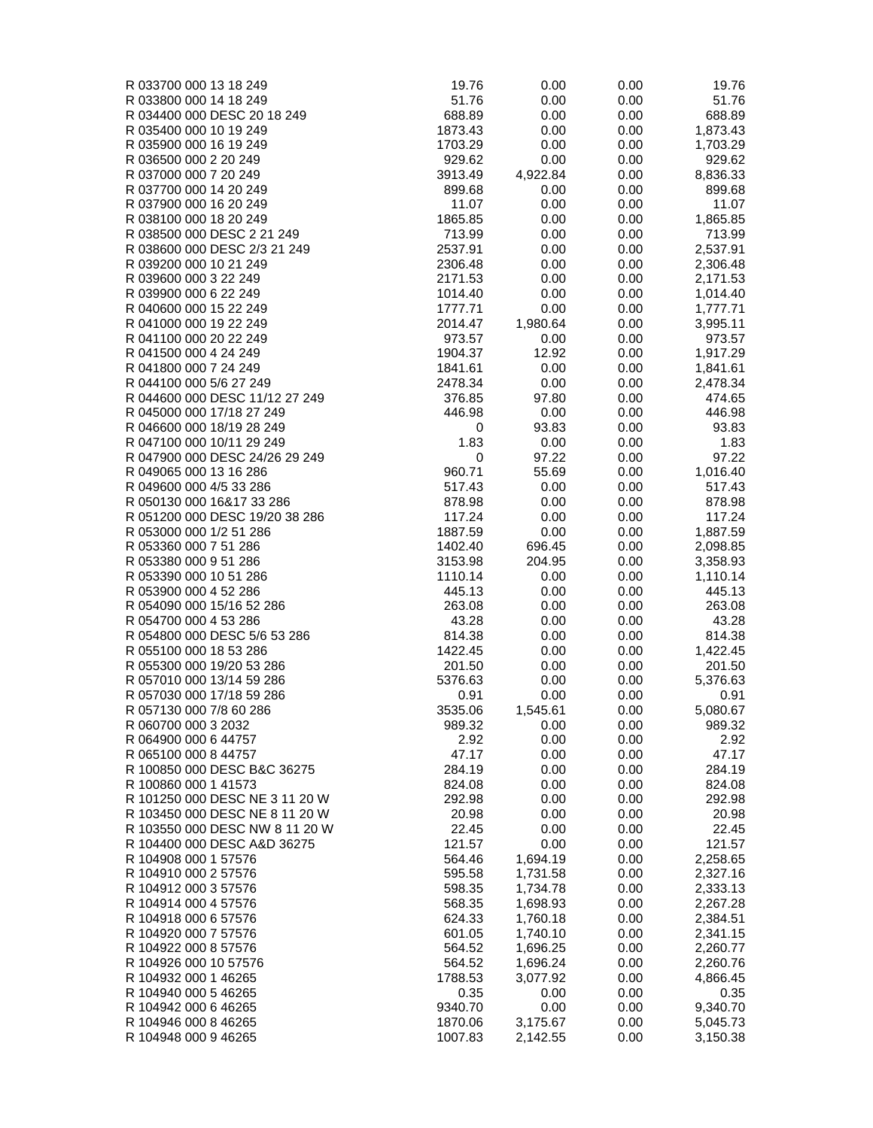| R 033700 000 13 18 249                              | 19.76              | 0.00         | 0.00         | 19.76                |
|-----------------------------------------------------|--------------------|--------------|--------------|----------------------|
| R 033800 000 14 18 249                              | 51.76              | 0.00         | 0.00         | 51.76                |
| R 034400 000 DESC 20 18 249                         | 688.89             | 0.00         | 0.00         | 688.89               |
| R 035400 000 10 19 249                              | 1873.43            | 0.00         | 0.00         | 1,873.43             |
| R 035900 000 16 19 249                              | 1703.29            | 0.00         | 0.00         | 1,703.29             |
| R 036500 000 2 20 249                               | 929.62             | 0.00         | 0.00         | 929.62               |
| R 037000 000 7 20 249                               | 3913.49            | 4,922.84     | 0.00         | 8,836.33             |
| R 037700 000 14 20 249                              | 899.68             | 0.00         | 0.00         | 899.68               |
| R 037900 000 16 20 249                              | 11.07              | 0.00         | 0.00         | 11.07                |
| R 038100 000 18 20 249                              | 1865.85            | 0.00         | 0.00         | 1,865.85             |
| R 038500 000 DESC 2 21 249                          | 713.99             | 0.00         | 0.00         | 713.99               |
| R 038600 000 DESC 2/3 21 249                        | 2537.91            | 0.00         | 0.00         | 2,537.91             |
| R 039200 000 10 21 249                              | 2306.48            | 0.00         | 0.00         | 2,306.48             |
| R 039600 000 3 22 249                               | 2171.53            | 0.00         | 0.00         | 2,171.53             |
| R 039900 000 6 22 249                               | 1014.40<br>1777.71 | 0.00<br>0.00 | 0.00         | 1,014.40             |
| R 040600 000 15 22 249<br>R 041000 000 19 22 249    | 2014.47            | 1,980.64     | 0.00<br>0.00 | 1,777.71<br>3,995.11 |
| R 041100 000 20 22 249                              | 973.57             | 0.00         | 0.00         | 973.57               |
| R 041500 000 4 24 249                               | 1904.37            | 12.92        | 0.00         | 1,917.29             |
| R 041800 000 7 24 249                               | 1841.61            | 0.00         | 0.00         | 1,841.61             |
| R 044100 000 5/6 27 249                             | 2478.34            | 0.00         | 0.00         | 2,478.34             |
| R 044600 000 DESC 11/12 27 249                      | 376.85             | 97.80        | 0.00         | 474.65               |
| R 045000 000 17/18 27 249                           | 446.98             | 0.00         | 0.00         | 446.98               |
| R 046600 000 18/19 28 249                           | 0                  | 93.83        | 0.00         | 93.83                |
| R 047100 000 10/11 29 249                           | 1.83               | 0.00         | 0.00         | 1.83                 |
| R 047900 000 DESC 24/26 29 249                      | 0                  | 97.22        | 0.00         | 97.22                |
| R 049065 000 13 16 286                              | 960.71             | 55.69        | 0.00         | 1,016.40             |
| R 049600 000 4/5 33 286                             | 517.43             | 0.00         | 0.00         | 517.43               |
| R 050130 000 16&17 33 286                           | 878.98             | 0.00         | 0.00         | 878.98               |
| R 051200 000 DESC 19/20 38 286                      | 117.24             | 0.00         | 0.00         | 117.24               |
| R 053000 000 1/2 51 286                             | 1887.59            | 0.00         | 0.00         | 1,887.59             |
| R 053360 000 7 51 286                               | 1402.40            | 696.45       | 0.00         | 2,098.85             |
| R 053380 000 9 51 286                               | 3153.98            | 204.95       | 0.00         | 3,358.93             |
| R 053390 000 10 51 286                              | 1110.14            | 0.00         | 0.00         | 1,110.14             |
| R 053900 000 4 52 286                               | 445.13             | 0.00         | 0.00         | 445.13               |
| R 054090 000 15/16 52 286                           | 263.08             | 0.00         | 0.00         | 263.08               |
| R 054700 000 4 53 286                               | 43.28              | 0.00         | 0.00         | 43.28                |
| R 054800 000 DESC 5/6 53 286                        | 814.38             | 0.00         | 0.00         | 814.38               |
| R 055100 000 18 53 286                              | 1422.45            | 0.00         | 0.00         | 1,422.45             |
| R 055300 000 19/20 53 286                           | 201.50             | 0.00         | 0.00         | 201.50               |
| R 057010 000 13/14 59 286                           | 5376.63            | 0.00         | 0.00         | 5,376.63             |
| R 057030 000 17/18 59 286                           | 0.91               | 0.00         | 0.00         | 0.91                 |
| R 057130 000 7/8 60 286                             | 3535.06            | 1,545.61     | 0.00         | 5,080.67             |
| R 060700 000 3 2032                                 | 989.32             | 0.00         | 0.00         | 989.32               |
| R 064900 000 6 44757                                | 2.92               | 0.00         | 0.00         | 2.92                 |
| R 065100 000 8 44757                                | 47.17<br>284.19    | 0.00         | 0.00         | 47.17                |
| R 100850 000 DESC B&C 36275<br>R 100860 000 1 41573 | 824.08             | 0.00<br>0.00 | 0.00<br>0.00 | 284.19<br>824.08     |
| R 101250 000 DESC NE 3 11 20 W                      | 292.98             | 0.00         | 0.00         | 292.98               |
| R 103450 000 DESC NE 8 11 20 W                      | 20.98              | 0.00         | 0.00         | 20.98                |
| R 103550 000 DESC NW 8 11 20 W                      | 22.45              | 0.00         | 0.00         | 22.45                |
| R 104400 000 DESC A&D 36275                         | 121.57             | 0.00         | 0.00         | 121.57               |
| R 104908 000 1 57576                                | 564.46             | 1,694.19     | 0.00         | 2,258.65             |
| R 104910 000 2 57576                                | 595.58             | 1,731.58     | 0.00         | 2,327.16             |
| R 104912 000 3 57576                                | 598.35             | 1,734.78     | 0.00         | 2,333.13             |
| R 104914 000 4 57576                                | 568.35             | 1,698.93     | 0.00         | 2,267.28             |
| R 104918 000 6 57576                                | 624.33             | 1,760.18     | 0.00         | 2,384.51             |
| R 104920 000 7 57576                                | 601.05             | 1,740.10     | 0.00         | 2,341.15             |
| R 104922 000 8 57576                                | 564.52             | 1,696.25     | 0.00         | 2,260.77             |
| R 104926 000 10 57576                               | 564.52             | 1,696.24     | 0.00         | 2,260.76             |
| R 104932 000 1 46265                                | 1788.53            | 3,077.92     | 0.00         | 4,866.45             |
| R 104940 000 5 46265                                | 0.35               | 0.00         | 0.00         | 0.35                 |
| R 104942 000 6 46265                                | 9340.70            | 0.00         | 0.00         | 9,340.70             |
| R 104946 000 8 46265                                | 1870.06            | 3,175.67     | 0.00         | 5,045.73             |
| R 104948 000 9 46265                                | 1007.83            | 2,142.55     | 0.00         | 3,150.38             |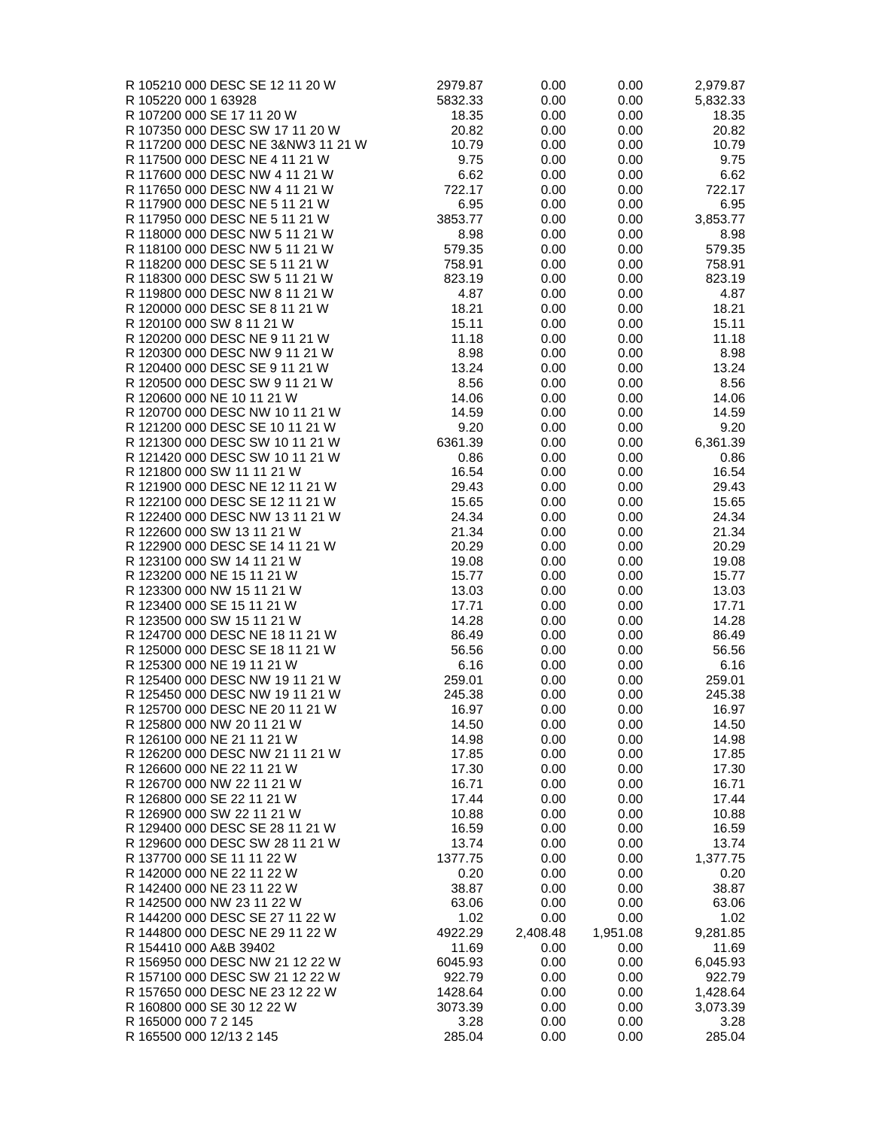| 2979.87 | 0.00                                                                                                                                          | 0.00                                                                                                                         | 2,979.87                                                                                                             |
|---------|-----------------------------------------------------------------------------------------------------------------------------------------------|------------------------------------------------------------------------------------------------------------------------------|----------------------------------------------------------------------------------------------------------------------|
| 5832.33 | 0.00                                                                                                                                          | 0.00                                                                                                                         | 5,832.33                                                                                                             |
|         |                                                                                                                                               |                                                                                                                              | 18.35                                                                                                                |
|         |                                                                                                                                               |                                                                                                                              | 20.82                                                                                                                |
|         |                                                                                                                                               |                                                                                                                              | 10.79                                                                                                                |
|         |                                                                                                                                               |                                                                                                                              | 9.75                                                                                                                 |
|         |                                                                                                                                               |                                                                                                                              | 6.62                                                                                                                 |
|         |                                                                                                                                               |                                                                                                                              | 722.17                                                                                                               |
|         |                                                                                                                                               |                                                                                                                              | 6.95                                                                                                                 |
|         |                                                                                                                                               |                                                                                                                              | 3,853.77                                                                                                             |
|         |                                                                                                                                               |                                                                                                                              | 8.98                                                                                                                 |
|         |                                                                                                                                               |                                                                                                                              | 579.35                                                                                                               |
|         |                                                                                                                                               |                                                                                                                              | 758.91                                                                                                               |
|         |                                                                                                                                               |                                                                                                                              | 823.19                                                                                                               |
|         |                                                                                                                                               |                                                                                                                              | 4.87                                                                                                                 |
|         |                                                                                                                                               |                                                                                                                              | 18.21                                                                                                                |
|         |                                                                                                                                               |                                                                                                                              | 15.11                                                                                                                |
| 11.18   | 0.00                                                                                                                                          | 0.00                                                                                                                         | 11.18                                                                                                                |
| 8.98    | 0.00                                                                                                                                          | 0.00                                                                                                                         | 8.98                                                                                                                 |
| 13.24   | 0.00                                                                                                                                          | 0.00                                                                                                                         | 13.24                                                                                                                |
| 8.56    | 0.00                                                                                                                                          | 0.00                                                                                                                         | 8.56                                                                                                                 |
| 14.06   | 0.00                                                                                                                                          | 0.00                                                                                                                         | 14.06                                                                                                                |
| 14.59   | 0.00                                                                                                                                          | 0.00                                                                                                                         | 14.59                                                                                                                |
| 9.20    | 0.00                                                                                                                                          | 0.00                                                                                                                         | 9.20                                                                                                                 |
| 6361.39 | 0.00                                                                                                                                          | 0.00                                                                                                                         | 6,361.39                                                                                                             |
| 0.86    | 0.00                                                                                                                                          | 0.00                                                                                                                         | 0.86                                                                                                                 |
| 16.54   | 0.00                                                                                                                                          | 0.00                                                                                                                         | 16.54                                                                                                                |
| 29.43   | 0.00                                                                                                                                          | 0.00                                                                                                                         | 29.43                                                                                                                |
| 15.65   | 0.00                                                                                                                                          | 0.00                                                                                                                         | 15.65                                                                                                                |
| 24.34   | 0.00                                                                                                                                          | 0.00                                                                                                                         | 24.34                                                                                                                |
| 21.34   | 0.00                                                                                                                                          | 0.00                                                                                                                         | 21.34                                                                                                                |
| 20.29   | 0.00                                                                                                                                          | 0.00                                                                                                                         | 20.29                                                                                                                |
| 19.08   | 0.00                                                                                                                                          | 0.00                                                                                                                         | 19.08                                                                                                                |
| 15.77   | 0.00                                                                                                                                          | 0.00                                                                                                                         | 15.77                                                                                                                |
| 13.03   | 0.00                                                                                                                                          | 0.00                                                                                                                         | 13.03                                                                                                                |
| 17.71   | 0.00                                                                                                                                          | 0.00                                                                                                                         | 17.71                                                                                                                |
| 14.28   | 0.00                                                                                                                                          | 0.00                                                                                                                         | 14.28                                                                                                                |
| 86.49   | 0.00                                                                                                                                          | 0.00                                                                                                                         | 86.49                                                                                                                |
|         | 0.00                                                                                                                                          | 0.00                                                                                                                         | 56.56                                                                                                                |
| 6.16    | 0.00                                                                                                                                          | 0.00                                                                                                                         | 6.16                                                                                                                 |
| 259.01  | 0.00                                                                                                                                          | 0.00                                                                                                                         | 259.01                                                                                                               |
| 245.38  | 0.00                                                                                                                                          | 0.00                                                                                                                         | 245.38                                                                                                               |
| 16.97   | 0.00                                                                                                                                          | 0.00                                                                                                                         | 16.97                                                                                                                |
| 14.50   | 0.00                                                                                                                                          | 0.00                                                                                                                         | 14.50                                                                                                                |
| 14.98   | 0.00                                                                                                                                          | 0.00                                                                                                                         | 14.98                                                                                                                |
| 17.85   | 0.00                                                                                                                                          | 0.00                                                                                                                         | 17.85                                                                                                                |
| 17.30   | 0.00                                                                                                                                          | 0.00                                                                                                                         | 17.30                                                                                                                |
| 16.71   | 0.00                                                                                                                                          | 0.00                                                                                                                         | 16.71                                                                                                                |
| 17.44   | 0.00                                                                                                                                          | 0.00                                                                                                                         | 17.44                                                                                                                |
| 10.88   |                                                                                                                                               | 0.00                                                                                                                         | 10.88                                                                                                                |
| 16.59   | 0.00                                                                                                                                          | 0.00                                                                                                                         | 16.59                                                                                                                |
| 13.74   | 0.00                                                                                                                                          | 0.00                                                                                                                         | 13.74                                                                                                                |
| 1377.75 | 0.00                                                                                                                                          | 0.00                                                                                                                         | 1,377.75                                                                                                             |
| 0.20    | 0.00                                                                                                                                          | 0.00                                                                                                                         | 0.20                                                                                                                 |
| 38.87   | 0.00                                                                                                                                          | 0.00                                                                                                                         | 38.87                                                                                                                |
| 63.06   | 0.00                                                                                                                                          | 0.00                                                                                                                         | 63.06                                                                                                                |
| 1.02    | 0.00                                                                                                                                          | 0.00                                                                                                                         | 1.02                                                                                                                 |
| 4922.29 | 2,408.48                                                                                                                                      | 1,951.08                                                                                                                     | 9,281.85                                                                                                             |
| 11.69   | 0.00                                                                                                                                          | 0.00                                                                                                                         | 11.69                                                                                                                |
| 6045.93 | 0.00                                                                                                                                          | 0.00                                                                                                                         | 6,045.93                                                                                                             |
| 922.79  | 0.00                                                                                                                                          | 0.00                                                                                                                         | 922.79                                                                                                               |
| 1428.64 | 0.00                                                                                                                                          | 0.00                                                                                                                         | 1,428.64                                                                                                             |
| 3073.39 | 0.00                                                                                                                                          | 0.00                                                                                                                         | 3,073.39                                                                                                             |
| 3.28    | 0.00                                                                                                                                          | 0.00                                                                                                                         | 3.28                                                                                                                 |
| 285.04  | 0.00                                                                                                                                          | 0.00                                                                                                                         | 285.04                                                                                                               |
|         | 18.35<br>20.82<br>10.79<br>9.75<br>6.62<br>722.17<br>6.95<br>3853.77<br>8.98<br>579.35<br>758.91<br>823.19<br>4.87<br>18.21<br>15.11<br>56.56 | 0.00<br>0.00<br>0.00<br>0.00<br>0.00<br>0.00<br>0.00<br>0.00<br>0.00<br>0.00<br>0.00<br>0.00<br>0.00<br>0.00<br>0.00<br>0.00 | 0.00<br>0.00<br>0.00<br>0.00<br>0.00<br>0.00<br>0.00<br>0.00<br>0.00<br>0.00<br>0.00<br>0.00<br>0.00<br>0.00<br>0.00 |